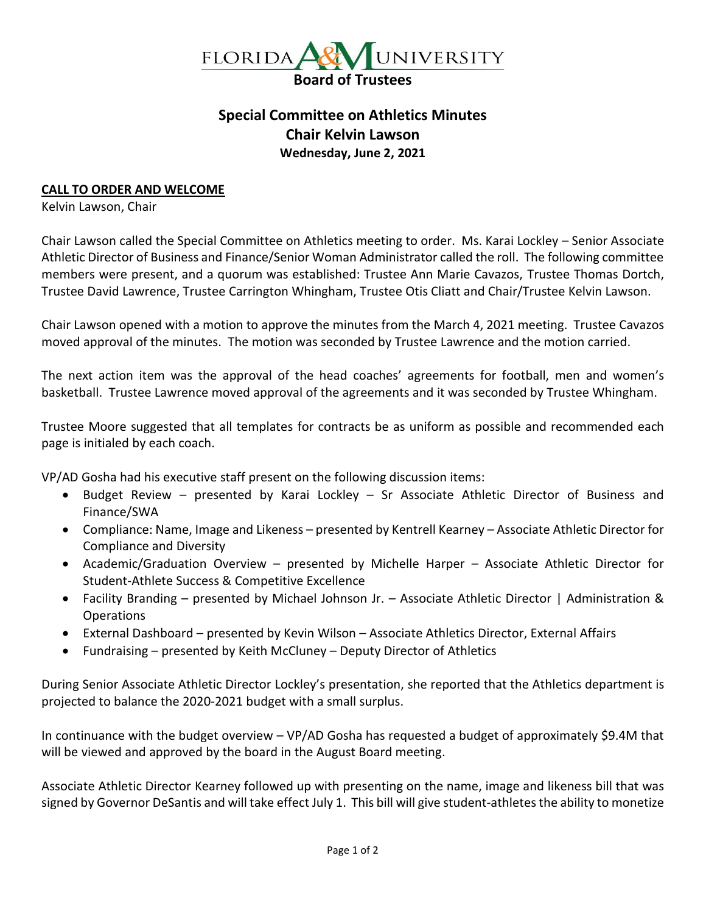

## **Special Committee on Athletics Minutes Chair Kelvin Lawson Wednesday, June 2, 2021**

## **CALL TO ORDER AND WELCOME**

Kelvin Lawson, Chair

Chair Lawson called the Special Committee on Athletics meeting to order. Ms. Karai Lockley – Senior Associate Athletic Director of Business and Finance/Senior Woman Administrator called the roll. The following committee members were present, and a quorum was established: Trustee Ann Marie Cavazos, Trustee Thomas Dortch, Trustee David Lawrence, Trustee Carrington Whingham, Trustee Otis Cliatt and Chair/Trustee Kelvin Lawson.

Chair Lawson opened with a motion to approve the minutes from the March 4, 2021 meeting. Trustee Cavazos moved approval of the minutes. The motion was seconded by Trustee Lawrence and the motion carried.

The next action item was the approval of the head coaches' agreements for football, men and women's basketball. Trustee Lawrence moved approval of the agreements and it was seconded by Trustee Whingham.

Trustee Moore suggested that all templates for contracts be as uniform as possible and recommended each page is initialed by each coach.

VP/AD Gosha had his executive staff present on the following discussion items:

- Budget Review presented by Karai Lockley Sr Associate Athletic Director of Business and Finance/SWA
- Compliance: Name, Image and Likeness presented by Kentrell Kearney Associate Athletic Director for Compliance and Diversity
- Academic/Graduation Overview presented by Michelle Harper Associate Athletic Director for Student-Athlete Success & Competitive Excellence
- Facility Branding presented by Michael Johnson Jr. Associate Athletic Director | Administration & **Operations**
- External Dashboard presented by Kevin Wilson Associate Athletics Director, External Affairs
- Fundraising presented by Keith McCluney Deputy Director of Athletics

During Senior Associate Athletic Director Lockley's presentation, she reported that the Athletics department is projected to balance the 2020-2021 budget with a small surplus.

In continuance with the budget overview – VP/AD Gosha has requested a budget of approximately \$9.4M that will be viewed and approved by the board in the August Board meeting.

Associate Athletic Director Kearney followed up with presenting on the name, image and likeness bill that was signed by Governor DeSantis and will take effect July 1. This bill will give student-athletes the ability to monetize